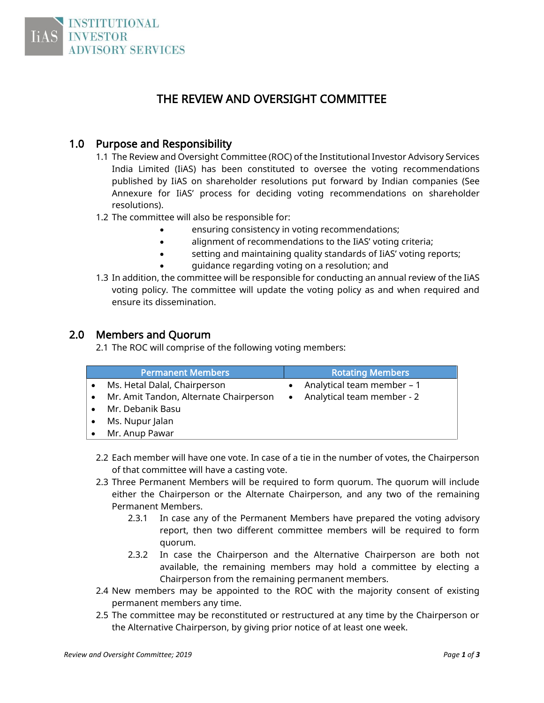

# THE REVIEW AND OVERSIGHT COMMITTEE

#### 1.0 Purpose and Responsibility

- 1.1 The Review and Oversight Committee (ROC) of the Institutional Investor Advisory Services India Limited (IiAS) has been constituted to oversee the voting recommendations published by IiAS on shareholder resolutions put forward by Indian companies (See Annexure for IiAS' process for deciding voting recommendations on shareholder resolutions).
- 1.2 The committee will also be responsible for:
	- ensuring consistency in voting recommendations;
	- alignment of recommendations to the IiAS' voting criteria;
	- setting and maintaining quality standards of IiAS' voting reports;
	- guidance regarding voting on a resolution; and
- 1.3 In addition, the committee will be responsible for conducting an annual review of the IiAS voting policy. The committee will update the voting policy as and when required and ensure its dissemination.

#### 2.0 Members and Quorum

2.1 The ROC will comprise of the following voting members:

| <b>Permanent Members</b>               | <b>Rotating Members</b>                 |
|----------------------------------------|-----------------------------------------|
| Ms. Hetal Dalal, Chairperson           | Analytical team member - 1<br>$\bullet$ |
| Mr. Amit Tandon, Alternate Chairperson | Analytical team member - 2<br>$\bullet$ |
| Mr. Debanik Basu                       |                                         |
| Ms. Nupur Jalan                        |                                         |
| Mr. Anup Pawar                         |                                         |

- 2.2 Each member will have one vote. In case of a tie in the number of votes, the Chairperson of that committee will have a casting vote.
- 2.3 Three Permanent Members will be required to form quorum. The quorum will include either the Chairperson or the Alternate Chairperson, and any two of the remaining Permanent Members.
	- 2.3.1 In case any of the Permanent Members have prepared the voting advisory report, then two different committee members will be required to form quorum.
	- 2.3.2 In case the Chairperson and the Alternative Chairperson are both not available, the remaining members may hold a committee by electing a Chairperson from the remaining permanent members.
- 2.4 New members may be appointed to the ROC with the majority consent of existing permanent members any time.
- 2.5 The committee may be reconstituted or restructured at any time by the Chairperson or the Alternative Chairperson, by giving prior notice of at least one week.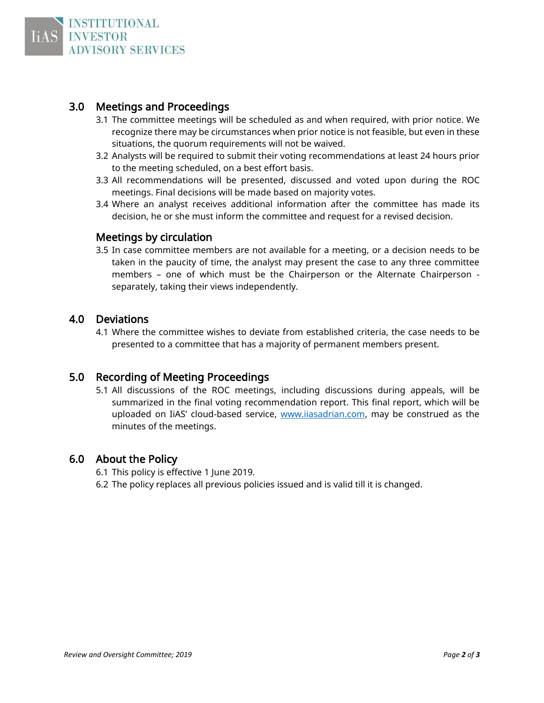

## 3.0 Meetings and Proceedings

- 3.1 The committee meetings will be scheduled as and when required, with prior notice. We recognize there may be circumstances when prior notice is not feasible, but even in these situations, the quorum requirements will not be waived.
- 3.2 Analysts will be required to submit their voting recommendations at least 24 hours prior to the meeting scheduled, on a best effort basis.
- 3.3 All recommendations will be presented, discussed and voted upon during the ROC meetings. Final decisions will be made based on majority votes.
- 3.4 Where an analyst receives additional information after the committee has made its decision, he or she must inform the committee and request for a revised decision.

#### Meetings by circulation

3.5 In case committee members are not available for a meeting, or a decision needs to be taken in the paucity of time, the analyst may present the case to any three committee members – one of which must be the Chairperson or the Alternate Chairperson separately, taking their views independently.

#### 4.0 Deviations

4.1 Where the committee wishes to deviate from established criteria, the case needs to be presented to a committee that has a majority of permanent members present.

### 5.0 Recording of Meeting Proceedings

5.1 All discussions of the ROC meetings, including discussions during appeals, will be summarized in the final voting recommendation report. This final report, which will be uploaded on IiAS' cloud-based service, [www.iiasadrian.com,](http://www.iiasadrian.com/) may be construed as the minutes of the meetings.

#### 6.0 About the Policy

- 6.1 This policy is effective 1 June 2019.
- 6.2 The policy replaces all previous policies issued and is valid till it is changed.